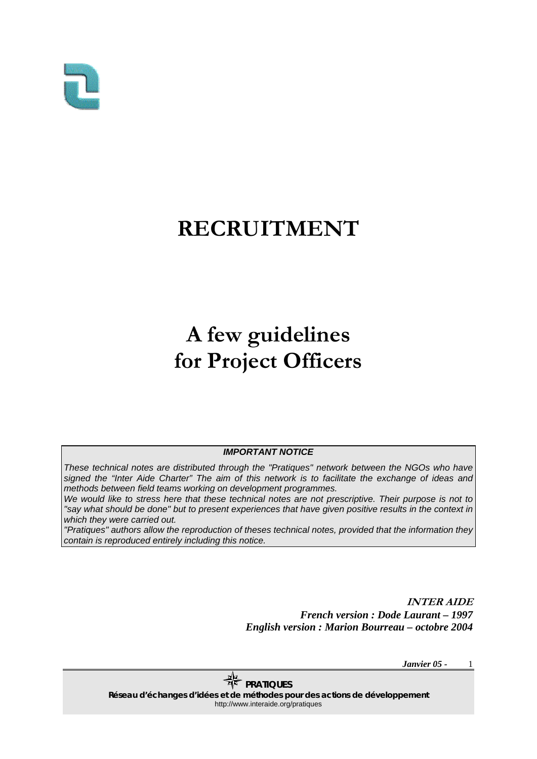

## **RECRUITMENT**

# **A few guidelines for Project Officers**

#### *IMPORTANT NOTICE*

*These technical notes are distributed through the "Pratiques" network between the NGOs who have signed the "Inter Aide Charter" The aim of this network is to facilitate the exchange of ideas and methods between field teams working on development programmes.* 

*We would like to stress here that these technical notes are not prescriptive. Their purpose is not to "say what should be done" but to present experiences that have given positive results in the context in which they were carried out.* 

*"Pratiques" authors allow the reproduction of theses technical notes, provided that the information they contain is reproduced entirely including this notice.*

> **INTER AIDE**  *French version : Dode Laurant – 1997 English version : Marion Bourreau – octobre 2004*

> > *Janvier 05 -*  1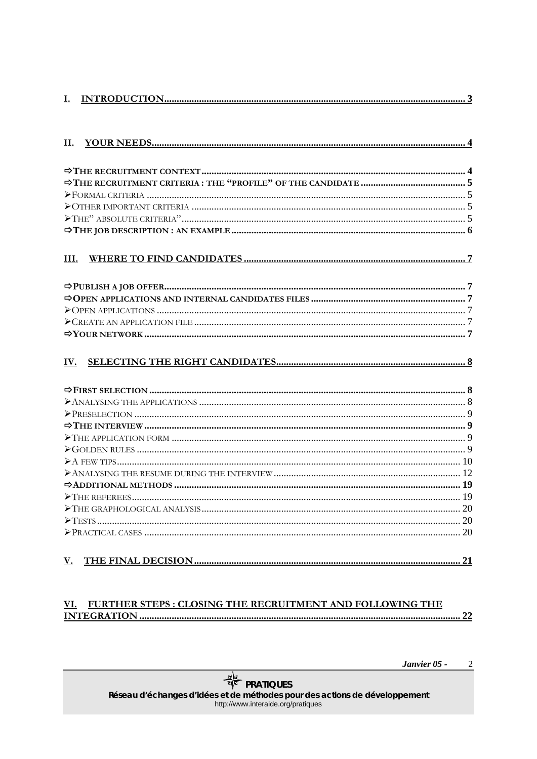| <u></u> |  |
|---------|--|
|         |  |

| II.  |  |
|------|--|
|      |  |
|      |  |
|      |  |
|      |  |
|      |  |
|      |  |
|      |  |
| III. |  |
|      |  |
|      |  |
|      |  |
|      |  |
|      |  |
|      |  |
|      |  |
| IV.  |  |
|      |  |
|      |  |
|      |  |
|      |  |
|      |  |
|      |  |
|      |  |
|      |  |
|      |  |
|      |  |
|      |  |
|      |  |
|      |  |
|      |  |
|      |  |
| V.   |  |
|      |  |

#### VI. FURTHER STEPS : CLOSING THE RECRUITMENT AND FOLLOWING THE **INTEGRATION..** ............ 22

Janvier 05 - $\overline{2}$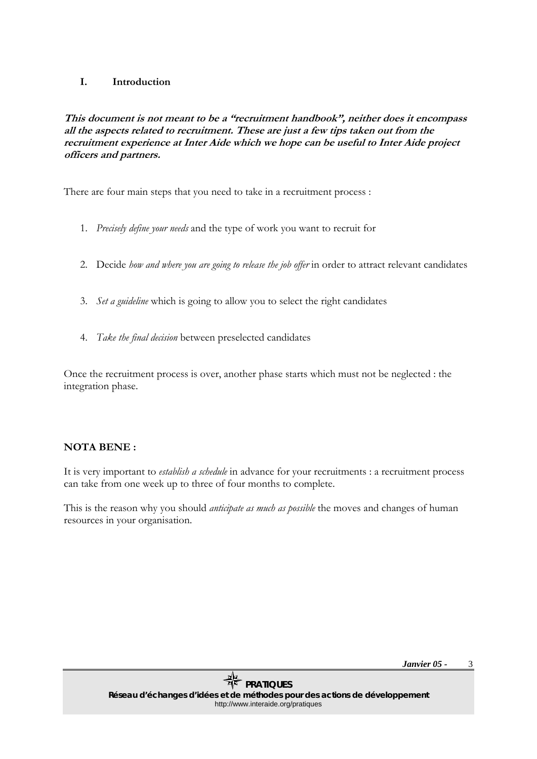### <span id="page-2-0"></span>**I. Introduction**

**This document is not meant to be a "recruitment handbook", neither does it encompass all the aspects related to recruitment. These are just a few tips taken out from the recruitment experience at Inter Aide which we hope can be useful to Inter Aide project officers and partners.** 

There are four main steps that you need to take in a recruitment process :

- 1. *Precisely define your needs* and the type of work you want to recruit for
- 2. Decide *how and where you are going to release the job offer* in order to attract relevant candidates
- 3. *Set a guideline* which is going to allow you to select the right candidates
- 4. *Take the final decision* between preselected candidates

Once the recruitment process is over, another phase starts which must not be neglected : the integration phase.

### **NOTA BENE :**

It is very important to *establish a schedule* in advance for your recruitments : a recruitment process can take from one week up to three of four months to complete.

This is the reason why you should *anticipate as much as possible* the moves and changes of human resources in your organisation.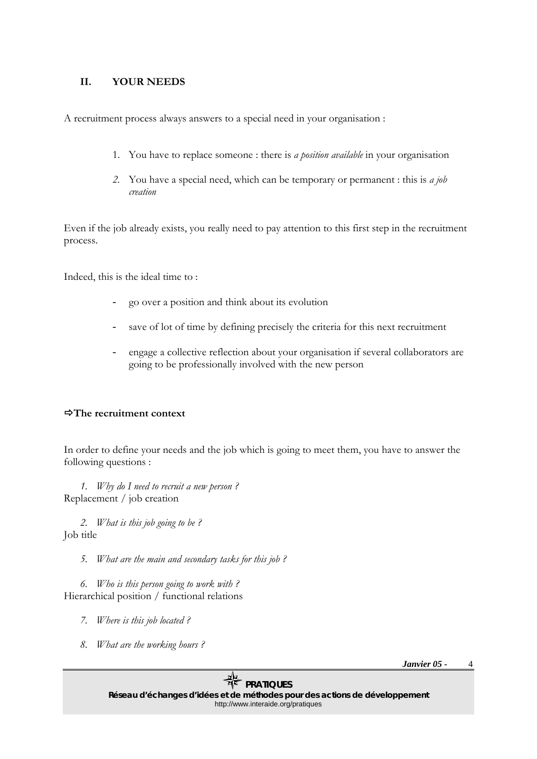### <span id="page-3-0"></span>**II. YOUR NEEDS**

A recruitment process always answers to a special need in your organisation :

- 1. You have to replace someone : there is *a position available* in your organisation
- *2.* You have a special need, which can be temporary or permanent : this is *a job creation*

Even if the job already exists, you really need to pay attention to this first step in the recruitment process.

Indeed, this is the ideal time to :

- go over a position and think about its evolution
- save of lot of time by defining precisely the criteria for this next recruitment
- engage a collective reflection about your organisation if several collaborators are going to be professionally involved with the new person

### Ö**The recruitment context**

In order to define your needs and the job which is going to meet them, you have to answer the following questions :

*1. Why do I need to recruit a new person ?*  Replacement / job creation

*2. What is this job going to be ?*  Job title

*5. What are the main and secondary tasks for this job ?* 

*6. Who is this person going to work with ?*  Hierarchical position / functional relations

- *7. Where is this job located ?*
- *8. What are the working hours ?*

*Janvier 05 -*  4

*PRATIQUES*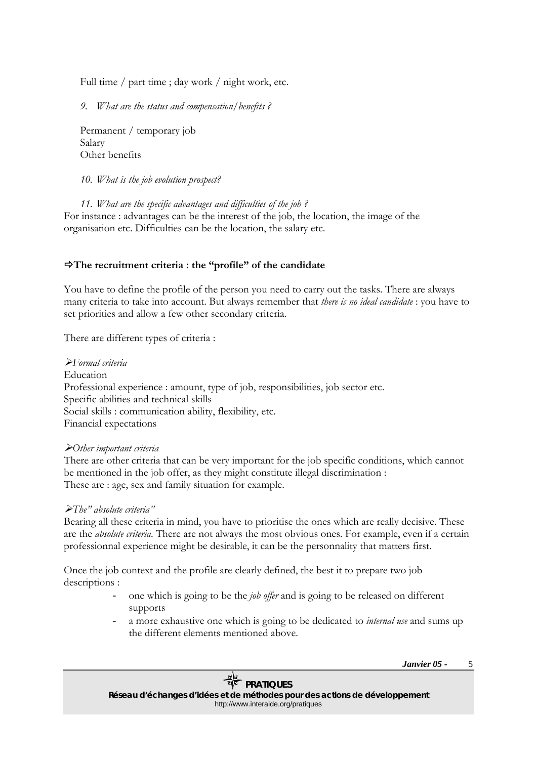<span id="page-4-0"></span>Full time / part time ; day work / night work, etc.

*9. What are the status and compensation/benefits ?* 

Permanent / temporary job Salary Other benefits

*10. What is the job evolution prospect?* 

*11. What are the specific advantages and difficulties of the job ?*  For instance : advantages can be the interest of the job, the location, the image of the organisation etc. Difficulties can be the location, the salary etc.

### Ö**The recruitment criteria : the "profile" of the candidate**

You have to define the profile of the person you need to carry out the tasks. There are always many criteria to take into account. But always remember that *there is no ideal candidate* : you have to set priorities and allow a few other secondary criteria.

There are different types of criteria :

¾*Formal criteria*  Education Professional experience : amount, type of job, responsibilities, job sector etc. Specific abilities and technical skills Social skills : communication ability, flexibility, etc. Financial expectations

#### ¾*Other important criteria*

There are other criteria that can be very important for the job specific conditions, which cannot be mentioned in the job offer, as they might constitute illegal discrimination : These are : age, sex and family situation for example.

### ¾*The" absolute criteria"*

Bearing all these criteria in mind, you have to prioritise the ones which are really decisive. These are the *absolute criteria*. There are not always the most obvious ones. For example, even if a certain professionnal experience might be desirable, it can be the personnality that matters first.

Once the job context and the profile are clearly defined, the best it to prepare two job descriptions :

- one which is going to be the *job offer* and is going to be released on different supports
- a more exhaustive one which is going to be dedicated to *internal use* and sums up the different elements mentioned above.

*Janvier 05 -*  5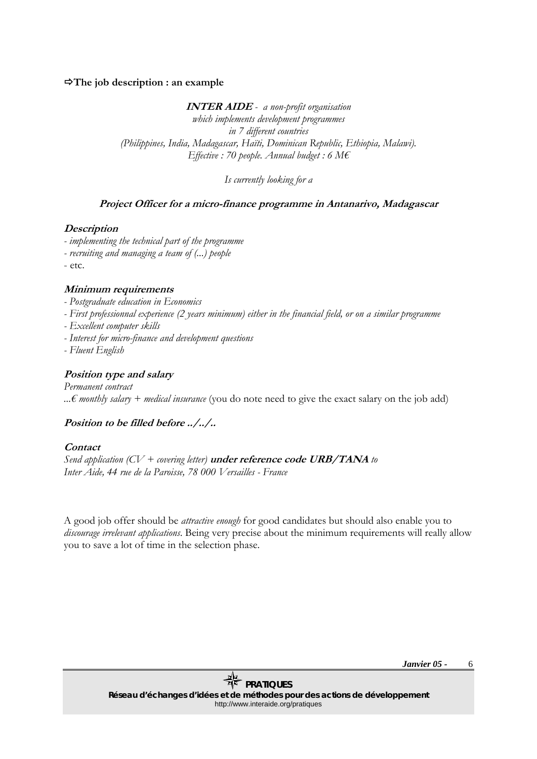### <span id="page-5-0"></span>Ö**The job description : an example**

**INTER AIDE** *- a non-profit organisation* 

*which implements development programmes in 7 different countries (Philippines, India, Madagascar, Haïti, Dominican Republic, Ethiopia, Malawi). Effective : 70 people. Annual budget : 6 M€* 

*Is currently looking for a* 

### **Project Officer for a micro-finance programme in Antanarivo, Madagascar**

#### **Description**

- *implementing the technical part of the programme*
- *recruiting and managing a team of (...) people*
- etc.

### **Minimum requirements**

- *Postgraduate education in Economics*
- *First professionnal experience (2 years minimum) either in the financial field, or on a similar programme*
- *Excellent computer skills*
- *Interest for micro-finance and development questions*
- *Fluent English*

### **Position type and salary**

*Permanent contract ...€ monthly salary + medical insurance* (you do note need to give the exact salary on the job add)

### **Position to be filled before ../../..**

#### **Contact**

*Send application (CV + covering letter)* **under reference code URB/TANA** *to Inter Aide, 44 rue de la Paroisse, 78 000 Versailles - France* 

A good job offer should be *attractive enough* for good candidates but should also enable you to *discourage irrelevant applications*. Being very precise about the minimum requirements will really allow you to save a lot of time in the selection phase.

> *Janvier 05 -*  6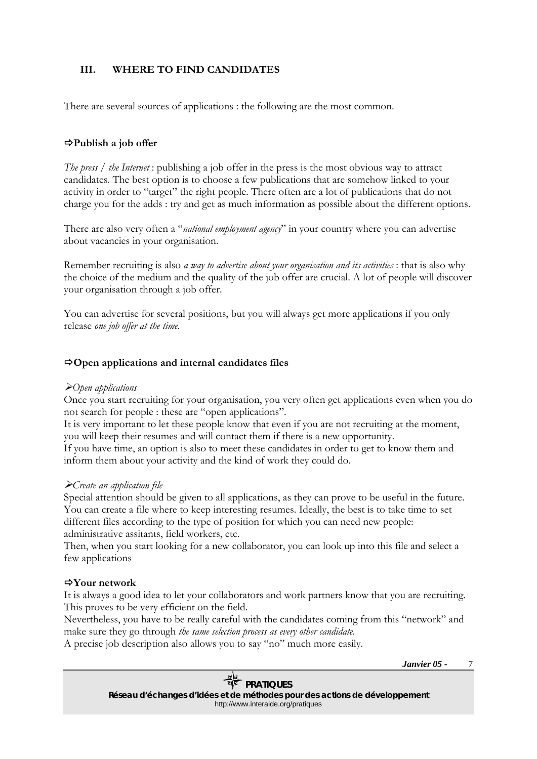### <span id="page-6-0"></span>**III. WHERE TO FIND CANDIDATES**

There are several sources of applications : the following are the most common.

### Ö**Publish a job offer**

*The press / the Internet* : publishing a job offer in the press is the most obvious way to attract candidates. The best option is to choose a few publications that are somehow linked to your activity in order to "target" the right people. There often are a lot of publications that do not charge you for the adds : try and get as much information as possible about the different options.

There are also very often a "*national employment agency*" in your country where you can advertise about vacancies in your organisation.

Remember recruiting is also *a way to advertise about your organisation and its activities* : that is also why the choice of the medium and the quality of the job offer are crucial. A lot of people will discover your organisation through a job offer.

You can advertise for several positions, but you will always get more applications if you only release *one job offer at the time*.

### Ö**Open applications and internal candidates files**

### ¾*Open applications*

Once you start recruiting for your organisation, you very often get applications even when you do not search for people : these are "open applications".

It is very important to let these people know that even if you are not recruiting at the moment, you will keep their resumes and will contact them if there is a new opportunity.

If you have time, an option is also to meet these candidates in order to get to know them and inform them about your activity and the kind of work they could do.

### ¾*Create an application file*

Special attention should be given to all applications, as they can prove to be useful in the future. You can create a file where to keep interesting resumes. Ideally, the best is to take time to set different files according to the type of position for which you can need new people: administrative assitants, field workers, etc.

Then, when you start looking for a new collaborator, you can look up into this file and select a few applications

### Ö**Your network**

It is always a good idea to let your collaborators and work partners know that you are recruiting. This proves to be very efficient on the field.

Nevertheless, you have to be really careful with the candidates coming from this "network" and make sure they go through *the same selection process as every other candidate*.

A precise job description also allows you to say "no" much more easily.

*Janvier 05 -* 

7

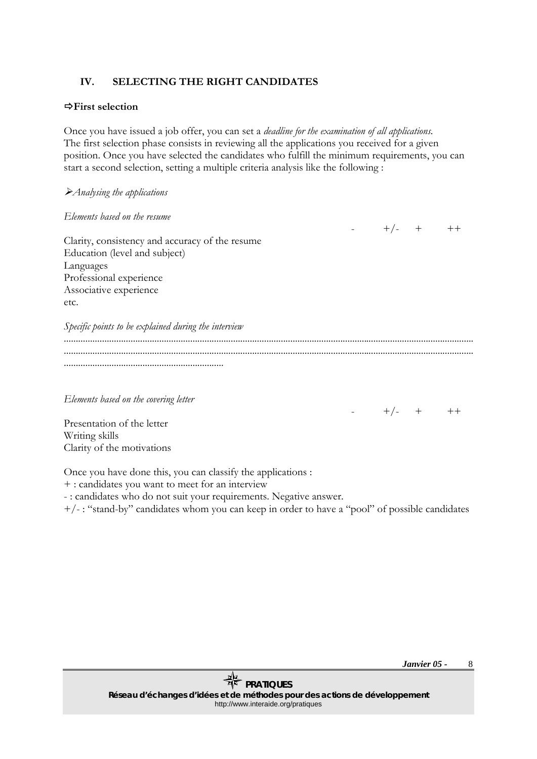### <span id="page-7-0"></span>**IV. SELECTING THE RIGHT CANDIDATES**

### Ö**First selection**

Once you have issued a job offer, you can set a *deadline for the examination of all applications.*  The first selection phase consists in reviewing all the applications you received for a given position. Once you have selected the candidates who fulfill the minimum requirements, you can start a second selection, setting a multiple criteria analysis like the following :

 $-$  +/- + ++

| Clarity, consistency and accuracy of the resume |  |  |
|-------------------------------------------------|--|--|
| Education (level and subject)                   |  |  |
| Languages                                       |  |  |
| Professional experience                         |  |  |
| Associative experience                          |  |  |
| etc.                                            |  |  |

| Specific points to be explained during the interview |  |  |
|------------------------------------------------------|--|--|
|                                                      |  |  |
|                                                      |  |  |
|                                                      |  |  |

*Elements based on the covering letter* 

 $-$  +/- + ++

Presentation of the letter Writing skills Clarity of the motivations

Once you have done this, you can classify the applications :

+ : candidates you want to meet for an interview

- : candidates who do not suit your requirements. Negative answer.

+/- : "stand-by" candidates whom you can keep in order to have a "pool" of possible candidates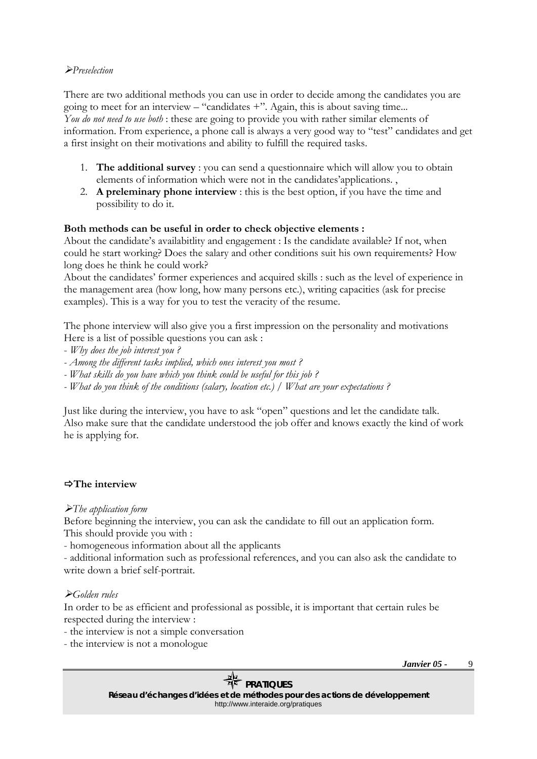### <span id="page-8-0"></span>¾*Preselection*

There are two additional methods you can use in order to decide among the candidates you are going to meet for an interview – "candidates +". Again, this is about saving time... *You do not need to use both* : these are going to provide you with rather similar elements of information. From experience, a phone call is always a very good way to "test" candidates and get a first insight on their motivations and ability to fulfill the required tasks.

- 1. **The additional survey** : you can send a questionnaire which will allow you to obtain elements of information which were not in the candidates'applications. ,
- 2. **A preleminary phone interview** : this is the best option, if you have the time and possibility to do it.

### **Both methods can be useful in order to check objective elements :**

About the candidate's availabitlity and engagement : Is the candidate available? If not, when could he start working? Does the salary and other conditions suit his own requirements? How long does he think he could work?

About the candidates' former experiences and acquired skills : such as the level of experience in the management area (how long, how many persons etc.), writing capacities (ask for precise examples). This is a way for you to test the veracity of the resume.

The phone interview will also give you a first impression on the personality and motivations Here is a list of possible questions you can ask :

- *Why does the job interest you ?*
- *Among the different tasks implied, which ones interest you most ?*
- *What skills do you have which you think could be useful for this job ?*

*- What do you think of the conditions (salary, location etc.) / What are your expectations ?*

Just like during the interview, you have to ask "open" questions and let the candidate talk. Also make sure that the candidate understood the job offer and knows exactly the kind of work he is applying for.

### Ö**The interview**

### ¾*The application form*

Before beginning the interview, you can ask the candidate to fill out an application form. This should provide you with :

- homogeneous information about all the applicants

- additional information such as professional references, and you can also ask the candidate to write down a brief self-portrait.

### ¾*Golden rules*

In order to be as efficient and professional as possible, it is important that certain rules be respected during the interview :

- the interview is not a simple conversation
- the interview is not a monologue

*Janvier 05 -*  9

### *PRATIQUES*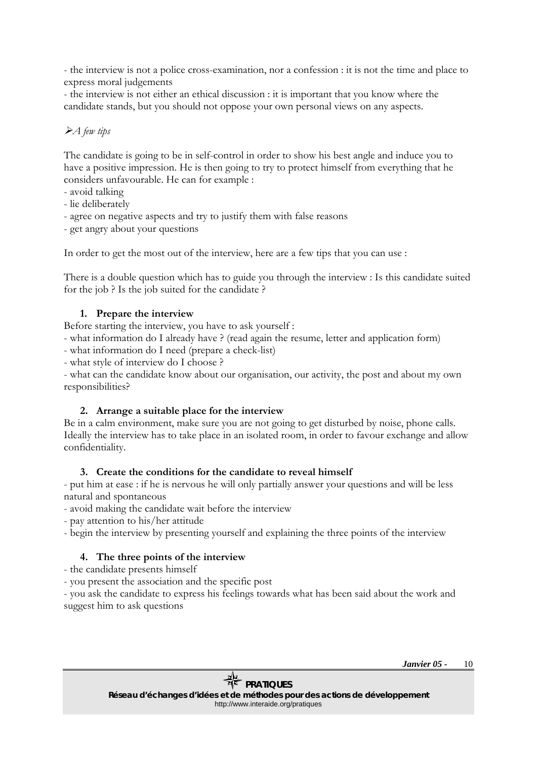<span id="page-9-0"></span>- the interview is not a police cross-examination, nor a confession : it is not the time and place to express moral judgements

- the interview is not either an ethical discussion : it is important that you know where the candidate stands, but you should not oppose your own personal views on any aspects.

### ¾*A few tips*

The candidate is going to be in self-control in order to show his best angle and induce you to have a positive impression. He is then going to try to protect himself from everything that he considers unfavourable. He can for example :

- avoid talking
- lie deliberately
- agree on negative aspects and try to justify them with false reasons
- get angry about your questions

In order to get the most out of the interview, here are a few tips that you can use :

There is a double question which has to guide you through the interview : Is this candidate suited for the job ? Is the job suited for the candidate ?

### **1. Prepare the interview**

Before starting the interview, you have to ask yourself :

- what information do I already have ? (read again the resume, letter and application form)

- what information do I need (prepare a check-list)

- what style of interview do I choose ?

- what can the candidate know about our organisation, our activity, the post and about my own responsibilities?

### **2. Arrange a suitable place for the interview**

Be in a calm environment, make sure you are not going to get disturbed by noise, phone calls. Ideally the interview has to take place in an isolated room, in order to favour exchange and allow confidentiality.

### **3. Create the conditions for the candidate to reveal himself**

- put him at ease : if he is nervous he will only partially answer your questions and will be less natural and spontaneous

- avoid making the candidate wait before the interview
- pay attention to his/her attitude
- begin the interview by presenting yourself and explaining the three points of the interview

### **4. The three points of the interview**

- the candidate presents himself
- you present the association and the specific post

- you ask the candidate to express his feelings towards what has been said about the work and suggest him to ask questions

> *Janvier 05 -*  10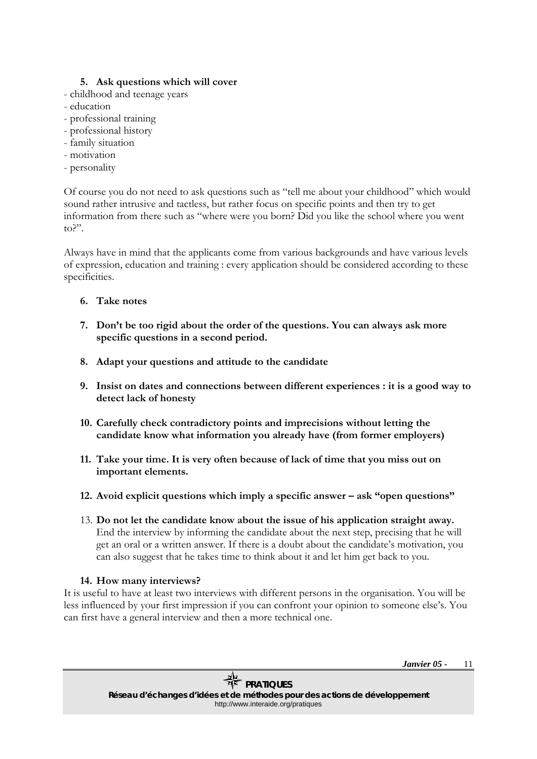### **5. Ask questions which will cover**

- childhood and teenage years
- education
- professional training
- professional history
- family situation
- motivation
- personality

Of course you do not need to ask questions such as "tell me about your childhood" which would sound rather intrusive and tactless, but rather focus on specific points and then try to get information from there such as "where were you born? Did you like the school where you went to?".

Always have in mind that the applicants come from various backgrounds and have various levels of expression, education and training : every application should be considered according to these specificities.

### **6. Take notes**

- **7. Don't be too rigid about the order of the questions. You can always ask more specific questions in a second period.**
- **8. Adapt your questions and attitude to the candidate**
- **9. Insist on dates and connections between different experiences : it is a good way to detect lack of honesty**
- **10. Carefully check contradictory points and imprecisions without letting the candidate know what information you already have (from former employers)**
- **11. Take your time. It is very often because of lack of time that you miss out on important elements.**
- **12. Avoid explicit questions which imply a specific answer ask "open questions"**
- 13. **Do not let the candidate know about the issue of his application straight away.**  End the interview by informing the candidate about the next step, precising that he will get an oral or a written answer. If there is a doubt about the candidate's motivation, you can also suggest that he takes time to think about it and let him get back to you.

### **14. How many interviews?**

It is useful to have at least two interviews with different persons in the organisation. You will be less influenced by your first impression if you can confront your opinion to someone else's. You can first have a general interview and then a more technical one.

> *Janvier 05 -*  11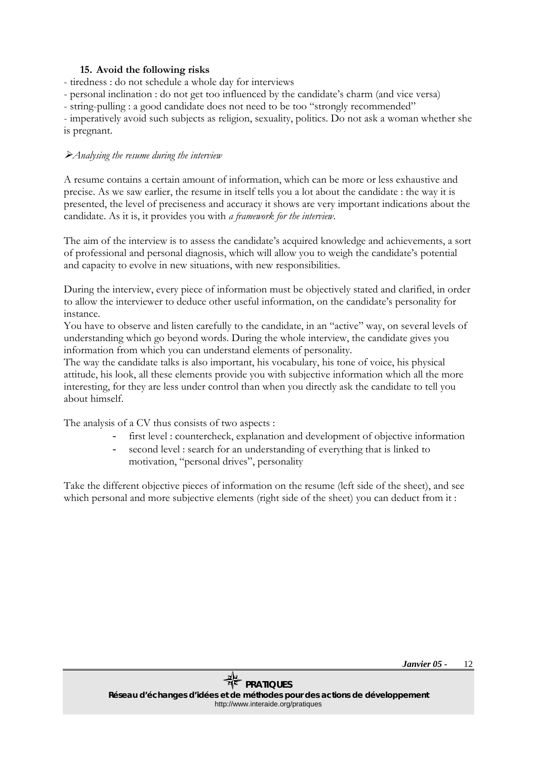### **15. Avoid the following risks**

<span id="page-11-0"></span>- tiredness : do not schedule a whole day for interviews

- personal inclination : do not get too influenced by the candidate's charm (and vice versa)

- string-pulling : a good candidate does not need to be too "strongly recommended"

- imperatively avoid such subjects as religion, sexuality, politics. Do not ask a woman whether she is pregnant.

### ¾*Analysing the resume during the interview*

A resume contains a certain amount of information, which can be more or less exhaustive and precise. As we saw earlier, the resume in itself tells you a lot about the candidate : the way it is presented, the level of preciseness and accuracy it shows are very important indications about the candidate. As it is, it provides you with *a framework for the interview*.

The aim of the interview is to assess the candidate's acquired knowledge and achievements, a sort of professional and personal diagnosis, which will allow you to weigh the candidate's potential and capacity to evolve in new situations, with new responsibilities.

During the interview, every piece of information must be objectively stated and clarified, in order to allow the interviewer to deduce other useful information, on the candidate's personality for instance.

You have to observe and listen carefully to the candidate, in an "active" way, on several levels of understanding which go beyond words. During the whole interview, the candidate gives you information from which you can understand elements of personality.

The way the candidate talks is also important, his vocabulary, his tone of voice, his physical attitude, his look, all these elements provide you with subjective information which all the more interesting, for they are less under control than when you directly ask the candidate to tell you about himself.

The analysis of a CV thus consists of two aspects :

- first level : countercheck, explanation and development of objective information
- second level : search for an understanding of everything that is linked to motivation, "personal drives", personality

Take the different objective pieces of information on the resume (left side of the sheet), and see which personal and more subjective elements (right side of the sheet) you can deduct from it: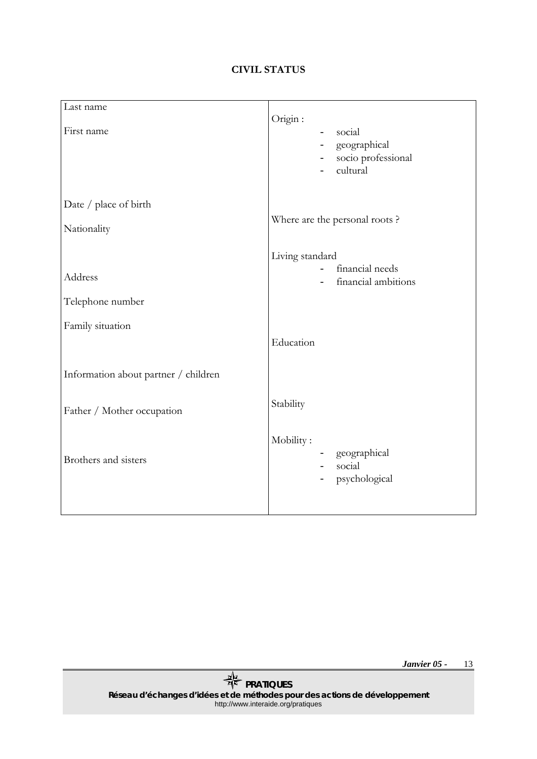### **CIVIL STATUS**

| Last name                            |                                                                                                                                |
|--------------------------------------|--------------------------------------------------------------------------------------------------------------------------------|
| First name                           | Origin:<br>social<br>$\qquad \qquad -$<br>geographical<br>$\sim$<br>socio professional<br>$\overline{\phantom{0}}$<br>cultural |
| Date / place of birth                |                                                                                                                                |
| Nationality                          | Where are the personal roots?                                                                                                  |
|                                      | Living standard                                                                                                                |
| Address                              | financial needs<br>financial ambitions                                                                                         |
| Telephone number                     |                                                                                                                                |
| Family situation                     |                                                                                                                                |
|                                      | Education                                                                                                                      |
| Information about partner / children |                                                                                                                                |
| Father / Mother occupation           | Stability                                                                                                                      |
| Brothers and sisters                 | Mobility:<br>geographical<br>-<br>social<br>$\overline{\phantom{a}}$<br>psychological<br>$\overline{\phantom{a}}$              |

*Janvier 05 -*  13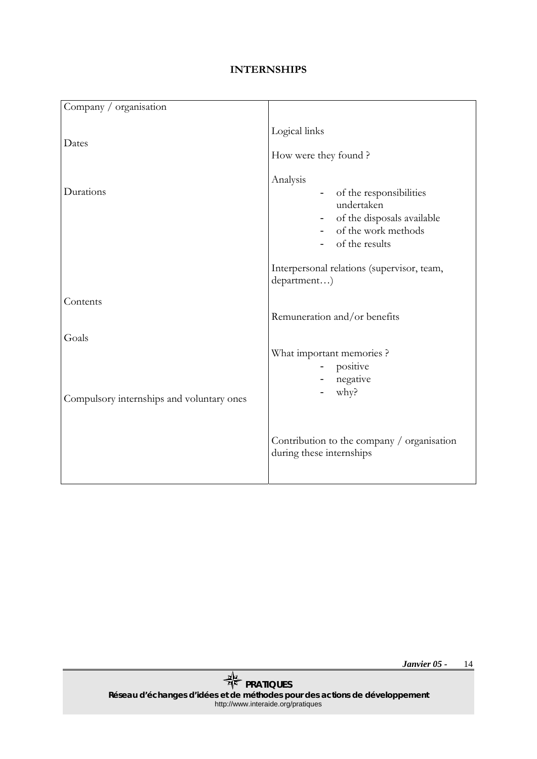### **INTERNSHIPS**

| Company / organisation                    |                                                                                                                                |
|-------------------------------------------|--------------------------------------------------------------------------------------------------------------------------------|
| Dates                                     | Logical links<br>How were they found?                                                                                          |
| Durations                                 | Analysis<br>- of the responsibilities<br>undertaken<br>- of the disposals available<br>- of the work methods<br>of the results |
|                                           | Interpersonal relations (supervisor, team,<br>department)                                                                      |
| Contents                                  | Remuneration and/or benefits                                                                                                   |
| Goals                                     |                                                                                                                                |
| Compulsory internships and voluntary ones | What important memories ?<br>- positive<br>- negative<br>why?                                                                  |
|                                           | Contribution to the company / organisation<br>during these internships                                                         |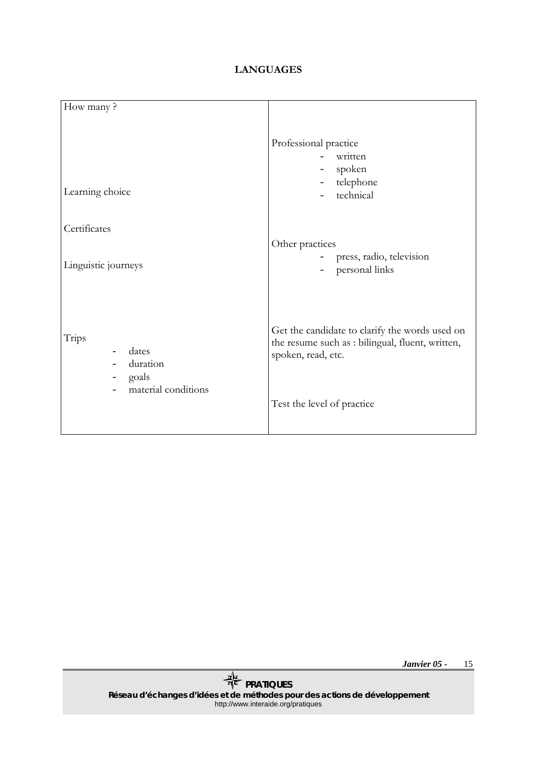### **LANGUAGES**

| How many?                           |                                                                                                                          |
|-------------------------------------|--------------------------------------------------------------------------------------------------------------------------|
| Learning choice                     | Professional practice<br>written<br>spoken<br>telephone<br>$\overline{\phantom{0}}$<br>technical                         |
| Certificates                        |                                                                                                                          |
| Linguistic journeys                 | Other practices<br>press, radio, television<br>personal links                                                            |
| Trips<br>dates<br>duration<br>goals | Get the candidate to clarify the words used on<br>the resume such as : bilingual, fluent, written,<br>spoken, read, etc. |
| material conditions                 | Test the level of practice                                                                                               |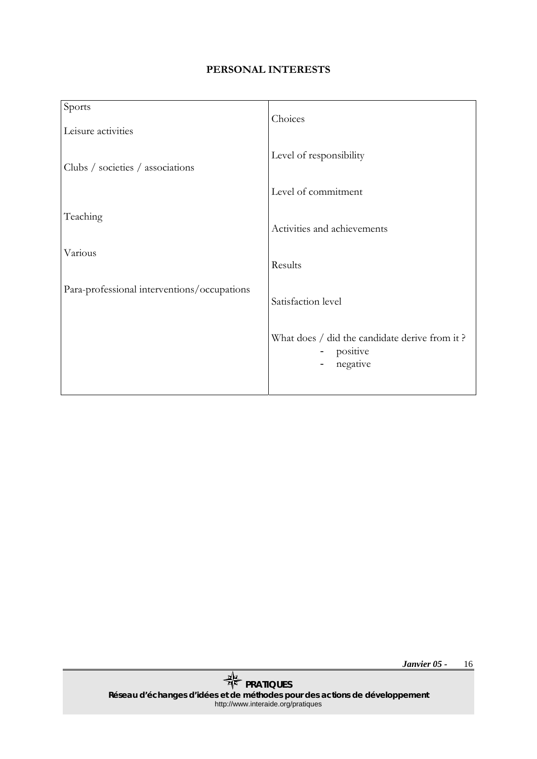### **PERSONAL INTERESTS**

| Sports                                      | Choices                                                               |
|---------------------------------------------|-----------------------------------------------------------------------|
| Leisure activities                          |                                                                       |
| Clubs / societies / associations            | Level of responsibility                                               |
|                                             | Level of commitment                                                   |
| Teaching                                    | Activities and achievements                                           |
| Various                                     | Results                                                               |
| Para-professional interventions/occupations | Satisfaction level                                                    |
|                                             | What does / did the candidate derive from it?<br>positive<br>negative |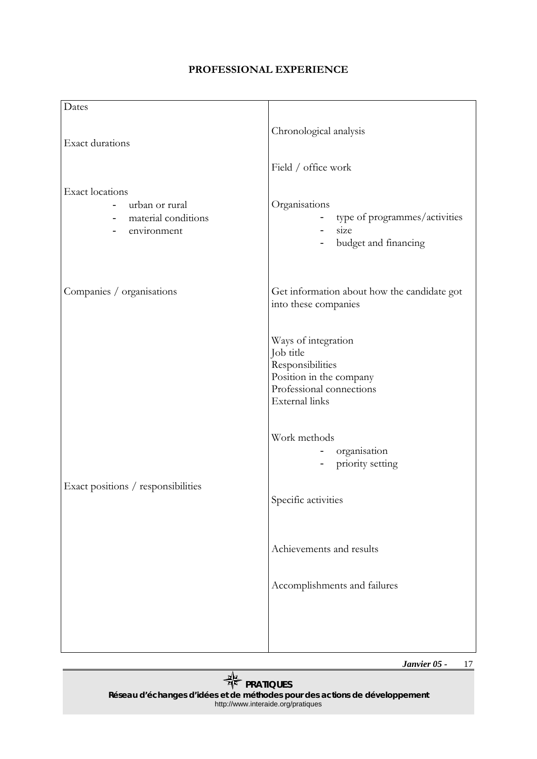### **PROFESSIONAL EXPERIENCE**

| Dates                                                                                                                                  |                                                                                                                                                                                                               |
|----------------------------------------------------------------------------------------------------------------------------------------|---------------------------------------------------------------------------------------------------------------------------------------------------------------------------------------------------------------|
| <b>Exact durations</b>                                                                                                                 | Chronological analysis                                                                                                                                                                                        |
|                                                                                                                                        | Field / office work                                                                                                                                                                                           |
| <b>Exact locations</b><br>urban or rural<br>material conditions<br>$\overline{\phantom{a}}$<br>environment<br>$\overline{\phantom{0}}$ | Organisations<br>- type of programmes/activities<br>size<br>$\omega_{\rm{max}}$<br>budget and financing<br>$\overline{\phantom{0}}$                                                                           |
| Companies / organisations                                                                                                              | Get information about how the candidate got<br>into these companies                                                                                                                                           |
|                                                                                                                                        | Ways of integration<br>Job title<br>Responsibilities<br>Position in the company<br>Professional connections<br>External links<br>Work methods<br>organisation<br>priority setting<br>$\overline{\phantom{0}}$ |
| Exact positions / responsibilities                                                                                                     | Specific activities                                                                                                                                                                                           |
|                                                                                                                                        | Achievements and results                                                                                                                                                                                      |
|                                                                                                                                        | Accomplishments and failures                                                                                                                                                                                  |
|                                                                                                                                        |                                                                                                                                                                                                               |

*Janvier 05 -*  17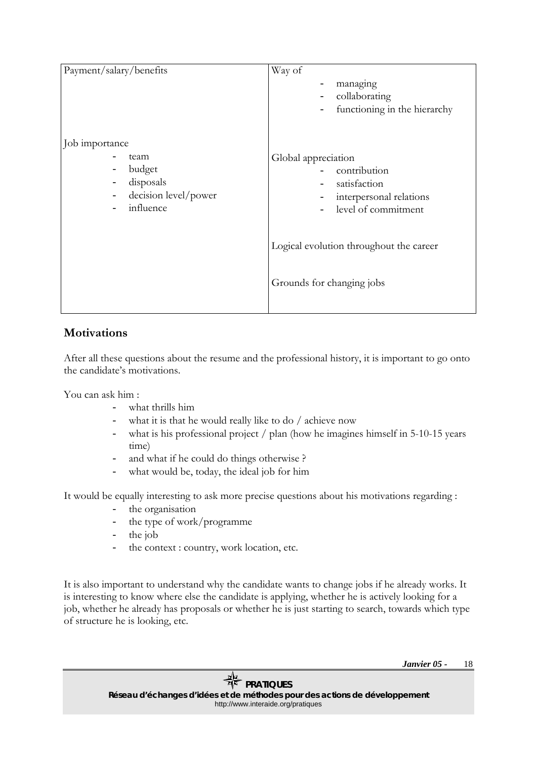| Payment/salary/benefits                                                                                        | Way of<br>managing<br>collaborating<br>functioning in the hierarchy                                           |
|----------------------------------------------------------------------------------------------------------------|---------------------------------------------------------------------------------------------------------------|
| Job importance<br>team<br>budget<br>disposals<br>$\overline{\phantom{a}}$<br>decision level/power<br>influence | Global appreciation<br>contribution<br>satisfaction<br>interpersonal relations<br>$ -$<br>level of commitment |
|                                                                                                                | Logical evolution throughout the career<br>Grounds for changing jobs                                          |

### **Motivations**

After all these questions about the resume and the professional history, it is important to go onto the candidate's motivations.

You can ask him :

- what thrills him
- what it is that he would really like to do / achieve now
- what is his professional project  $/$  plan (how he imagines himself in 5-10-15 years) time)
- and what if he could do things otherwise ?
- what would be, today, the ideal job for him

It would be equally interesting to ask more precise questions about his motivations regarding :

- the organisation
- the type of work/programme
- the job
- the context : country, work location, etc.

It is also important to understand why the candidate wants to change jobs if he already works. It is interesting to know where else the candidate is applying, whether he is actively looking for a job, whether he already has proposals or whether he is just starting to search, towards which type of structure he is looking, etc.

> *Janvier 05 -*  18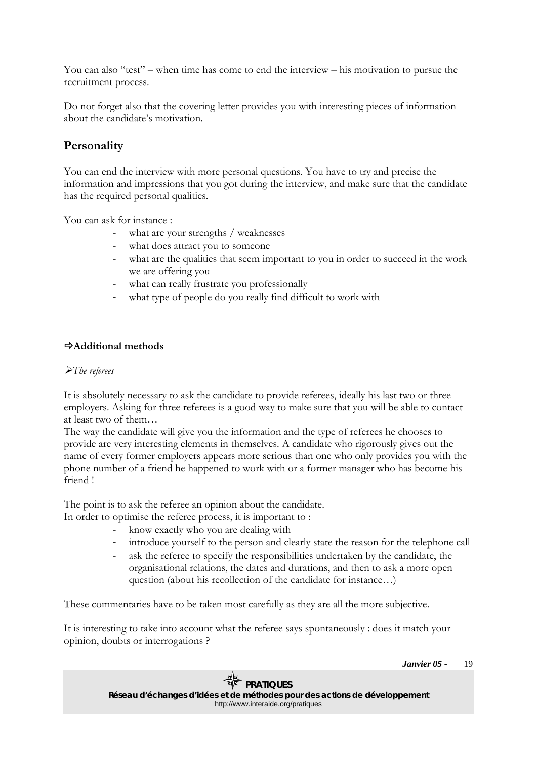<span id="page-18-0"></span>You can also "test" – when time has come to end the interview – his motivation to pursue the recruitment process.

Do not forget also that the covering letter provides you with interesting pieces of information about the candidate's motivation.

### **Personality**

You can end the interview with more personal questions. You have to try and precise the information and impressions that you got during the interview, and make sure that the candidate has the required personal qualities.

You can ask for instance :

- what are your strengths / weaknesses
- what does attract you to someone
- what are the qualities that seem important to you in order to succeed in the work we are offering you
- what can really frustrate you professionally
- what type of people do you really find difficult to work with

### Ö**Additional methods**

### ¾*The referees*

It is absolutely necessary to ask the candidate to provide referees, ideally his last two or three employers. Asking for three referees is a good way to make sure that you will be able to contact at least two of them…

The way the candidate will give you the information and the type of referees he chooses to provide are very interesting elements in themselves. A candidate who rigorously gives out the name of every former employers appears more serious than one who only provides you with the phone number of a friend he happened to work with or a former manager who has become his friend !

The point is to ask the referee an opinion about the candidate.

- In order to optimise the referee process, it is important to :
	- know exactly who you are dealing with
	- introduce yourself to the person and clearly state the reason for the telephone call
	- ask the referee to specify the responsibilities undertaken by the candidate, the organisational relations, the dates and durations, and then to ask a more open question (about his recollection of the candidate for instance…)

These commentaries have to be taken most carefully as they are all the more subjective.

It is interesting to take into account what the referee says spontaneously : does it match your opinion, doubts or interrogations ?

> *Janvier 05 -*  19

*Réseau d'échanges d'idées et de méthodes pour des actions de développement*  http://www.interaide.org/pratiques

## *PRATIQUES*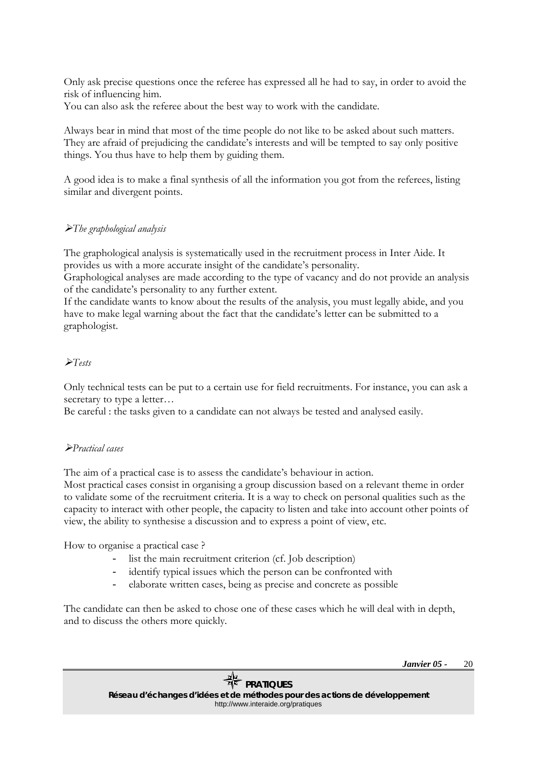<span id="page-19-0"></span>Only ask precise questions once the referee has expressed all he had to say, in order to avoid the risk of influencing him.

You can also ask the referee about the best way to work with the candidate.

Always bear in mind that most of the time people do not like to be asked about such matters. They are afraid of prejudicing the candidate's interests and will be tempted to say only positive things. You thus have to help them by guiding them.

A good idea is to make a final synthesis of all the information you got from the referees, listing similar and divergent points.

### ¾*The graphological analysis*

The graphological analysis is systematically used in the recruitment process in Inter Aide. It provides us with a more accurate insight of the candidate's personality.

Graphological analyses are made according to the type of vacancy and do not provide an analysis of the candidate's personality to any further extent.

If the candidate wants to know about the results of the analysis, you must legally abide, and you have to make legal warning about the fact that the candidate's letter can be submitted to a graphologist.

### ¾*Tests*

Only technical tests can be put to a certain use for field recruitments. For instance, you can ask a secretary to type a letter...

Be careful : the tasks given to a candidate can not always be tested and analysed easily.

### ¾*Practical cases*

The aim of a practical case is to assess the candidate's behaviour in action. Most practical cases consist in organising a group discussion based on a relevant theme in order to validate some of the recruitment criteria. It is a way to check on personal qualities such as the capacity to interact with other people, the capacity to listen and take into account other points of view, the ability to synthesise a discussion and to express a point of view, etc.

How to organise a practical case ?

- list the main recruitment criterion (cf. Job description)
- identify typical issues which the person can be confronted with
- elaborate written cases, being as precise and concrete as possible

The candidate can then be asked to chose one of these cases which he will deal with in depth, and to discuss the others more quickly.

> *Janvier 05 -*  20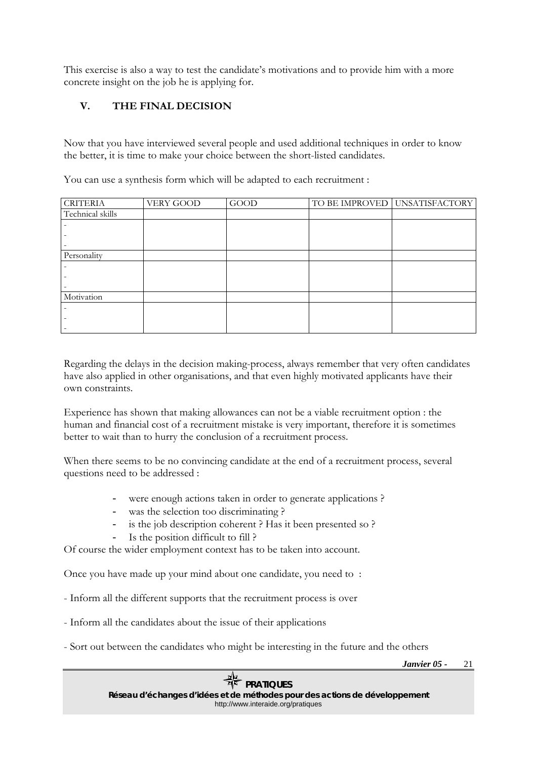<span id="page-20-0"></span>This exercise is also a way to test the candidate's motivations and to provide him with a more concrete insight on the job he is applying for.

### **V. THE FINAL DECISION**

Now that you have interviewed several people and used additional techniques in order to know the better, it is time to make your choice between the short-listed candidates.

You can use a synthesis form which will be adapted to each recruitment :

| <b>CRITERIA</b>  | VERY GOOD | <b>GOOD</b> | TO BE IMPROVED UNSATISFACTORY |
|------------------|-----------|-------------|-------------------------------|
| Technical skills |           |             |                               |
|                  |           |             |                               |
|                  |           |             |                               |
| -                |           |             |                               |
| Personality      |           |             |                               |
|                  |           |             |                               |
|                  |           |             |                               |
|                  |           |             |                               |
| Motivation       |           |             |                               |
|                  |           |             |                               |
|                  |           |             |                               |
|                  |           |             |                               |

Regarding the delays in the decision making-process, always remember that very often candidates have also applied in other organisations, and that even highly motivated applicants have their own constraints.

Experience has shown that making allowances can not be a viable recruitment option : the human and financial cost of a recruitment mistake is very important, therefore it is sometimes better to wait than to hurry the conclusion of a recruitment process.

When there seems to be no convincing candidate at the end of a recruitment process, several questions need to be addressed :

- were enough actions taken in order to generate applications ?
- was the selection too discriminating ?
- is the job description coherent ? Has it been presented so ?
	- Is the position difficult to fill ?

Of course the wider employment context has to be taken into account.

Once you have made up your mind about one candidate, you need to :

- Inform all the different supports that the recruitment process is over

- Inform all the candidates about the issue of their applications
- Sort out between the candidates who might be interesting in the future and the others

*Janvier 05 -*  21